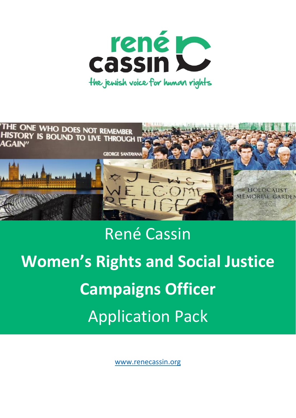



# René Cassin **Women's Rights and Social Justice Campaigns Officer** Application Pack

[www.renecassin.org](http://www.renecassin.org/)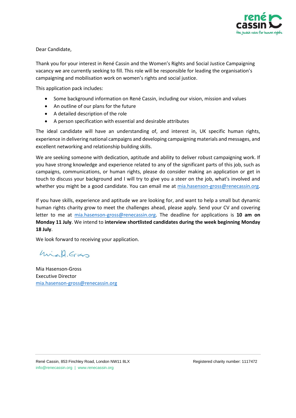

Dear Candidate,

Thank you for your interest in René Cassin and the Women's Rights and Social Justice Campaigning vacancy we are currently seeking to fill. This role will be responsible for leading the organisation's campaigning and mobilisation work on women's rights and social justice.

This application pack includes:

- Some background information on René Cassin, including our vision, mission and values
- An outline of our plans for the future
- A detailed description of the role
- A person specification with essential and desirable attributes

The ideal candidate will have an understanding of, and interest in, UK specific human rights, experience in delivering national campaigns and developing campaigning materials and messages, and excellent networking and relationship building skills.

We are seeking someone with dedication, aptitude and ability to deliver robust campaigning work. If you have strong knowledge and experience related to any of the significant parts of this job, such as campaigns, communications, or human rights, please do consider making an application or get in touch to discuss your background and I will try to give you a steer on the job, what's involved and whether you might be a good candidate. You can email me at [mia.hasenson-gross@renecassin.org.](mailto:mia.hasenson-gross@renecassin.org)

If you have skills, experience and aptitude we are looking for, and want to help a small but dynamic human rights charity grow to meet the challenges ahead, please apply. Send your CV and covering letter to me at [mia.hasenson-gross@renecassin.org.](mailto:mia.hasenson-gross@renecassin.org) The deadline for applications is **10 am on Monday 11 July**. We intend to **interview shortlisted candidates during the week beginning Monday 18 July**.

We look forward to receiving your application.

Mich. Gross

Mia Hasenson-Gross Executive Director [mia.hasenson-gross@renecassin.org](mailto:mia.hasenson-gross@renecassin.org)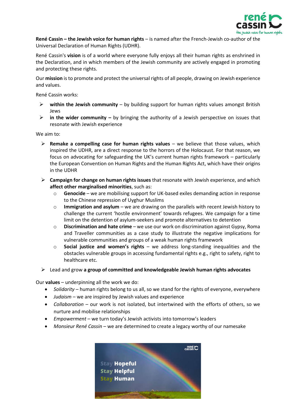

**René Cassin – the Jewish voice for human rights** – is named after the French-Jewish co-author of the Universal Declaration of Human Rights (UDHR).

René Cassin's **vision** is of a world where everyone fully enjoys all their human rights as enshrined in the Declaration, and in which members of the Jewish community are actively engaged in promoting and protecting these rights.

Our **mission** is to promote and protect the universal rights of all people, drawing on Jewish experience and values.

René Cassin works:

- ➢ **within the Jewish community** by building support for human rights values amongst British Jews
- ➢ **in the wider community –** by bringing the authority of a Jewish perspective on issues that resonate with Jewish experience

We aim to:

- ➢ **Remake a compelling case for human rights values** we believe that those values, which inspired the UDHR, are a direct response to the horrors of the Holocaust. For that reason, we focus on advocating for safeguarding the UK's current human rights framework – particularly the European Convention on Human Rights and the Human Rights Act, which have their origins in the UDHR
- ➢ **Campaign for change on human rights issues** that resonate with Jewish experience, and which **affect other marginalised minorities**, such as:
	- o **Genocide** we are mobilising support for UK-based exiles demanding action in response to the Chinese repression of Uyghur Muslims
	- o **Immigration and asylum** we are drawing on the parallels with recent Jewish history to challenge the current 'hostile environment' towards refugees. We campaign for a time limit on the detention of asylum-seekers and promote alternatives to detention
	- o **Discrimination and hate crime** we use our work on discrimination against Gypsy, Roma and Traveller communities as a case study to illustrate the negative implications for vulnerable communities and groups of a weak human rights framework
	- o **Social justice and women's rights** we address long-standing inequalities and the obstacles vulnerable groups in accessing fundamental rights e.g., right to safety, right to healthcare etc.
- ➢ Lead and grow **a group of committed and knowledgeable Jewish human rights advocates**

Our **values** – underpinning all the work we do:

- *Solidarity* human rights belong to us all, so we stand for the rights of everyone, everywhere
- *Judaism* we are inspired by Jewish values and experience
- *Collaboration* our work is not isolated, but intertwined with the efforts of others, so we nurture and mobilise relationships
- *Empowerment* we turn today's Jewish activists into tomorrow's leaders
- *Monsieur René Cassin* we are determined to create a legacy worthy of our namesake

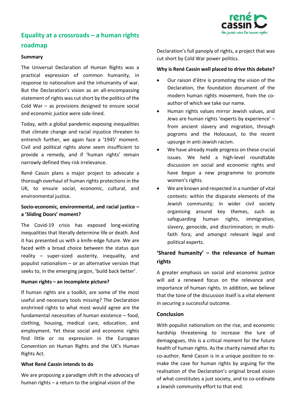

# **Equality at a crossroads – a human rights roadmap**

#### **Summary**

The Universal Declaration of Human Rights was a practical expression of common humanity, in response to nationalism and the inhumanity of war. But the Declaration's vision as an all-encompassing statement of rights was cut short by the politics of the Cold War – as provisions designed to ensure social and economic justice were side-lined.

Today, with a global pandemic exposing inequalities that climate change and racial injustice threaten to entrench further, we again face a '1945' moment. Civil and political rights alone seem insufficient to provide a remedy, and if 'human rights' remain narrowly defined they risk irrelevance.

René Cassin plans a major project to advocate a thorough overhaul of human rights protections in the UK, to ensure social, economic, cultural, and environmental justice.

## **Socio-economic, environmental, and racial justice – a 'Sliding Doors' moment?**

The Covid-19 crisis has exposed long-existing inequalities that literally determine life or death. And it has presented us with a knife-edge future. We are faced with a broad choice between the status quo reality – super-sized austerity, inequality, and populist nationalism – or an alternative version that seeks to, in the emerging jargon, 'build back better'.

#### **Human rights – an incomplete picture?**

If human rights are a toolkit, are some of the most useful and necessary tools missing? The Declaration enshrined rights to what most would agree are the fundamental necessities of human existence – food, clothing, housing, medical care, education, and employment. Yet these social and economic rights find little or no expression in the European Convention on Human Rights and the UK's Human Rights Act.

#### **What René Cassin intends to do**

We are proposing a paradigm shift in the advocacy of human rights – a return to the original vision of the

Declaration's full panoply of rights, a project that was cut short by Cold War power politics.

#### **Why is René Cassin well placed to drive this debate?**

- Our raison d'être is promoting the vision of the Declaration, the foundation document of the modern human rights movement, from the coauthor of which we take our name.
- Human rights values mirror Jewish values, and Jews are human rights 'experts by experience' – from ancient slavery and migration, through pogroms and the Holocaust, to the recent upsurge in anti-Jewish racism.
- We have already made progress on these crucial issues. We held a high-level roundtable discussion on social and economic rights and have begun a new programme to promote women's rights.
- We are known and respected in a number of vital contexts: within the disparate elements of the Jewish community; in wider civil society organising around key themes, such as safeguarding human rights, immigration, slavery, genocide, and discrimination; in multifaith fora; and amongst relevant legal and political experts.

## **'Shared humanity' – the relevance of human rights**

A greater emphasis on social and economic justice will aid a renewed focus on the relevance and importance of human rights. In addition, we believe that the tone of the discussion itself is a vital element in securing a successful outcome.

### **Conclusion**

With populist nationalism on the rise, and economic hardship threatening to increase the lure of demagogues, this is a critical moment for the future health of human rights. As the charity named after its co-author, René Cassin is in a unique position to remake the case for human rights by arguing for the realisation of the Declaration's original broad vision of what constitutes a just society, and to co-ordinate a Jewish community effort to that end.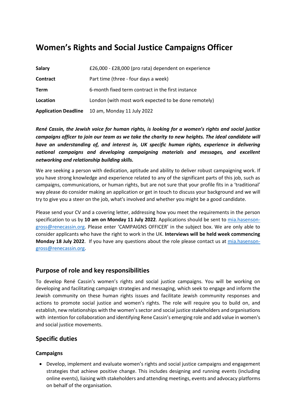# **Women's Rights and Social Justice Campaigns Officer**

| <b>Salary</b>               | £26,000 - £28,000 (pro rata) dependent on experience |
|-----------------------------|------------------------------------------------------|
| <b>Contract</b>             | Part time (three - four days a week)                 |
| <b>Term</b>                 | 6-month fixed term contract in the first instance    |
| Location                    | London (with most work expected to be done remotely) |
| <b>Application Deadline</b> | 10 am, Monday 11 July 2022                           |

*René Cassin, the Jewish voice for human rights, is looking for a women's rights and social justice campaigns officer to join our team as we take the charity to new heights. The ideal candidate will have an understanding of, and interest in, UK specific human rights, experience in delivering national campaigns and developing campaigning materials and messages, and excellent networking and relationship building skills.*

We are seeking a person with dedication, aptitude and ability to deliver robust campaigning work. If you have strong knowledge and experience related to any of the significant parts of this job, such as campaigns, communications, or human rights, but are not sure that your profile fits in a 'traditional' way please do consider making an application or get in touch to discuss your background and we will try to give you a steer on the job, what's involved and whether you might be a good candidate.

Please send your CV and a covering letter, addressing how you meet the requirements in the person specification to us by **10 am on Monday 11 July 2022**. Applications should be sent to [mia.hasenson](mailto:mia.hasenson-gross@renecassin.org)[gross@renecassin.org.](mailto:mia.hasenson-gross@renecassin.org) Please enter 'CAMPAIGNS OFFICER' in the subject box. We are only able to consider applicants who have the right to work in the UK. **Interviews will be held week commencing Monday 18 July 2022**. If you have any questions about the role please contact us at [mia.hasenson](mailto:mia.hasenson-gross@renecassin.org)[gross@renecassin.org.](mailto:mia.hasenson-gross@renecassin.org)

## **Purpose of role and key responsibilities**

To develop René Cassin's women's rights and social justice campaigns. You will be working on developing and facilitating campaign strategies and messaging, which seek to engage and inform the Jewish community on these human rights issues and facilitate Jewish community responses and actions to promote social justice and women's rights. The role will require you to build on, and establish, new relationships with the women's sector and social justice stakeholders and organisations with intention for collaboration and identifying Rene Cassin's emerging role and add value in women's and social justice movements.

## **Specific duties**

## **Campaigns**

• Develop, implement and evaluate women's rights and social justice campaigns and engagement strategies that achieve positive change. This includes designing and running events (including online events), liaising with stakeholders and attending meetings, events and advocacy platforms on behalf of the organisation.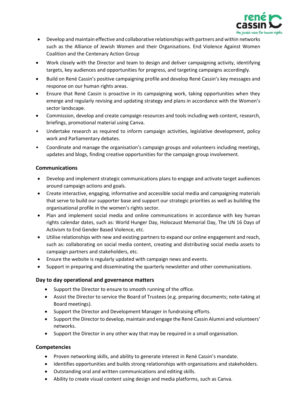

- Develop and maintain effective and collaborative relationships with partners and within networks such as the Alliance of Jewish Women and their Organisations. End Violence Against Women Coalition and the Centenary Action Group
- Work closely with the Director and team to design and deliver campaigning activity, identifying targets, key audiences and opportunities for progress, and targeting campaigns accordingly.
- Build on René Cassin's positive campaigning profile and develop René Cassin's key messages and response on our human rights areas.
- Ensure that René Cassin is proactive in its campaigning work, taking opportunities when they emerge and regularly revising and updating strategy and plans in accordance with the Women's sector landscape.
- Commission, develop and create campaign resources and tools including web content, research, briefings, promotional material using Canva.
- Undertake research as required to inform campaign activities, legislative development, policy work and Parliamentary debates.
- Coordinate and manage the organisation's campaign groups and volunteers including meetings, updates and blogs, finding creative opportunities for the campaign group involvement.

## **Communications**

- Develop and implement strategic communications plans to engage and activate target audiences around campaign actions and goals.
- Create interactive, engaging, informative and accessible social media and campaigning materials that serve to build our supporter base and support our strategic priorities as well as building the organisational profile in the women's rights sector.
- Plan and implement social media and online communications in accordance with key human rights calendar dates, such as: World Hunger Day, Holocaust Memorial Day, The UN 16 Days of Activism to End Gender Based Violence, etc.
- Utilise relationships with new and existing partners to expand our online engagement and reach, such as: collaborating on social media content, creating and distributing social media assets to campaign partners and stakeholders, etc.
- Ensure the website is regularly updated with campaign news and events.
- Support in preparing and disseminating the quarterly newsletter and other communications.

## **Day to day operational and governance matters**

- Support the Director to ensure to smooth running of the office.
- Assist the Director to service the Board of Trustees (e.g. preparing documents; note-taking at Board meetings).
- Support the Director and Development Manager in fundraising efforts.
- Support the Director to develop, maintain and engage the René Cassin Alumni and volunteers' networks.
- Support the Director in any other way that may be required in a small organisation.

## **Competencies**

- Proven networking skills, and ability to generate interest in René Cassin's mandate.
- Identifies opportunities and builds strong relationships with organisations and stakeholders.
- Outstanding oral and written communications and editing skills.
- Ability to create visual content using design and media platforms, such as Canva.